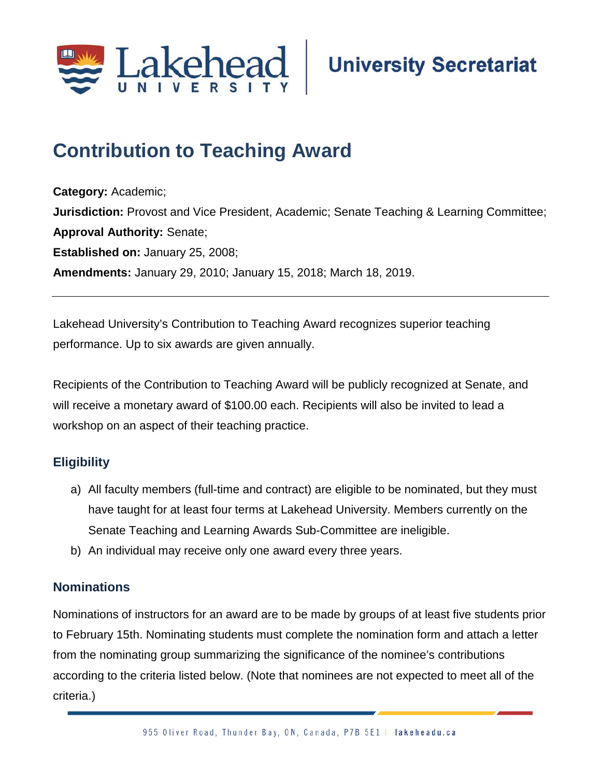

# **Contribution to Teaching Award;**

**Category:** Academic; **Jurisdiction:** Provost and Vice President, Academic; Senate Teaching & Learning Committee; **Approval Authority:** Senate; **Established on:** January 25, 2008; **Amendments:** January 29, 2010; January 15, 2018; March 18, 2019.

Lakehead University's Contribution to Teaching Award recognizes superior teaching performance. Up to six awards are given annually.

Recipients of the Contribution to Teaching Award will be publicly recognized at Senate, and will receive a monetary award of \$100.00 each. Recipients will also be invited to lead a workshop on an aspect of their teaching practice.

# **Eligibility**

- a) All faculty members (full-time and contract) are eligible to be nominated, but they must have taught for at least four terms at Lakehead University. Members currently on the Senate Teaching and Learning Awards Sub-Committee are ineligible.
- b) An individual may receive only one award every three years.

# **Nominations**

Nominations of instructors for an award are to be made by groups of at least five students prior to February 15th. Nominating students must complete the nomination form and attach a letter from the nominating group summarizing the significance of the nominee's contributions according to the criteria listed below. (Note that nominees are not expected to meet all of the criteria.)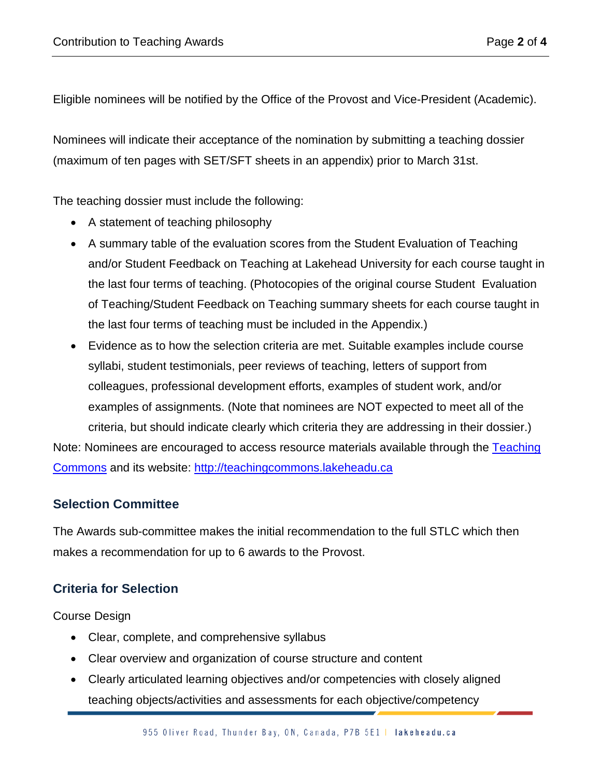Eligible nominees will be notified by the Office of the Provost and Vice-President (Academic).

Nominees will indicate their acceptance of the nomination by submitting a teaching dossier (maximum of ten pages with SET/SFT sheets in an appendix) prior to March 31st.

The teaching dossier must include the following:

- A statement of teaching philosophy
- A summary table of the evaluation scores from the Student Evaluation of Teaching and/or Student Feedback on Teaching at Lakehead University for each course taught in the last four terms of teaching. (Photocopies of the original course Student Evaluation of Teaching/Student Feedback on Teaching summary sheets for each course taught in the last four terms of teaching must be included in the Appendix.)
- Evidence as to how the selection criteria are met. Suitable examples include course syllabi, student testimonials, peer reviews of teaching, letters of support from colleagues, professional development efforts, examples of student work, and/or examples of assignments. (Note that nominees are NOT expected to meet all of the criteria, but should indicate clearly which criteria they are addressing in their dossier.)

Note: Nominees are encouraged to access resource materials available through the Teaching [Commons](https://www.lakeheadu.ca/faculty-and-staff/directory) and its website: [http://teachingcommons.lakeheadu.ca](http://teachingcommons.lakeheadu.ca/)

#### **Selection Committee**

The Awards sub-committee makes the initial recommendation to the full STLC which then makes a recommendation for up to 6 awards to the Provost.

# **Criteria for Selection**

Course Design

- Clear, complete, and comprehensive syllabus
- Clear overview and organization of course structure and content
- Clearly articulated learning objectives and/or competencies with closely aligned teaching objects/activities and assessments for each objective/competency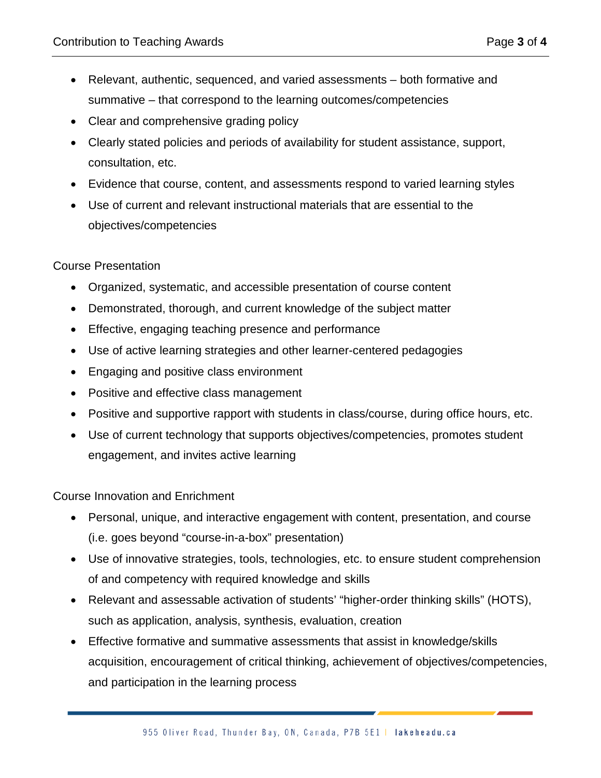- Relevant, authentic, sequenced, and varied assessments both formative and summative – that correspond to the learning outcomes/competencies
- Clear and comprehensive grading policy
- Clearly stated policies and periods of availability for student assistance, support, consultation, etc.
- Evidence that course, content, and assessments respond to varied learning styles
- Use of current and relevant instructional materials that are essential to the objectives/competencies

#### Course Presentation

- Organized, systematic, and accessible presentation of course content
- Demonstrated, thorough, and current knowledge of the subject matter
- Effective, engaging teaching presence and performance
- Use of active learning strategies and other learner-centered pedagogies
- Engaging and positive class environment
- Positive and effective class management
- Positive and supportive rapport with students in class/course, during office hours, etc.
- Use of current technology that supports objectives/competencies, promotes student engagement, and invites active learning

Course Innovation and Enrichment

- Personal, unique, and interactive engagement with content, presentation, and course (i.e. goes beyond "course-in-a-box" presentation)
- Use of innovative strategies, tools, technologies, etc. to ensure student comprehension of and competency with required knowledge and skills
- Relevant and assessable activation of students' "higher-order thinking skills" (HOTS), such as application, analysis, synthesis, evaluation, creation
- Effective formative and summative assessments that assist in knowledge/skills acquisition, encouragement of critical thinking, achievement of objectives/competencies, and participation in the learning process